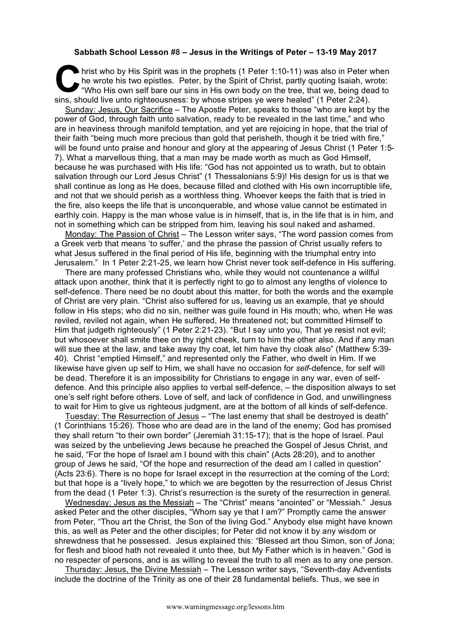## **Sabbath School Lesson #8 – Jesus in the Writings of Peter – 13-19 May 2017**

hrist who by His Spirit was in the prophets (1 Peter 1:10-11) was also in Peter when the wrote his two epistles. Peter, by the Spirit of Christ, partly quoting Isaiah, wrote:<br>"Who His own self bare our sins in His own body he wrote his two epistles. Peter, by the Spirit of Christ, partly quoting Isaiah, wrote: "Who His own self bare our sins in His own body on the tree, that we, being dead to sins, should live unto righteousness: by whose stripes ye were healed" (1 Peter 2:24).

Sunday: Jesus, Our Sacrifice – The Apostle Peter, speaks to those "who are kept by the power of God, through faith unto salvation, ready to be revealed in the last time," and who are in heaviness through manifold temptation, and yet are rejoicing in hope, that the trial of their faith "being much more precious than gold that perisheth, though it be tried with fire," will be found unto praise and honour and glory at the appearing of Jesus Christ (1 Peter 1:5-7). What a marvellous thing, that a man may be made worth as much as God Himself, because he was purchased with His life: "God has not appointed us to wrath, but to obtain salvation through our Lord Jesus Christ" (1 Thessalonians 5:9)! His design for us is that we shall continue as long as He does, because filled and clothed with His own incorruptible life, and not that we should perish as a worthless thing. Whoever keeps the faith that is tried in the fire, also keeps the life that is unconquerable, and whose value cannot be estimated in earthly coin. Happy is the man whose value is in himself, that is, in the life that is in him, and not in something which can be stripped from him, leaving his soul naked and ashamed.

Monday: The Passion of Christ - The Lesson writer says, "The word passion comes from a Greek verb that means 'to suffer,' and the phrase the passion of Christ usually refers to what Jesus suffered in the final period of His life, beginning with the triumphal entry into Jerusalem." In 1 Peter 2:21-25, we learn how Christ never took self-defence in His suffering.

There are many professed Christians who, while they would not countenance a willful attack upon another, think that it is perfectly right to go to almost any lengths of violence to self-defence. There need be no doubt about this matter, for both the words and the example of Christ are very plain. "Christ also suffered for us, leaving us an example, that ye should follow in His steps; who did no sin, neither was guile found in His mouth; who, when He was reviled, reviled not again, when He suffered, He threatened not; but committed Himself to Him that judgeth righteously" (1 Peter 2:21-23). "But I say unto you, That ye resist not evil; but whosoever shall smite thee on thy right cheek, turn to him the other also. And if any man will sue thee at the law, and take away thy coat, let him have thy cloak also" (Matthew 5:39- 40). Christ "emptied Himself," and represented only the Father, who dwelt in Him. If we likewise have given up self to Him, we shall have no occasion for *self*-defence, for self will be dead. Therefore it is an impossibility for Christians to engage in any war, even of selfdefence. And this principle also applies to verbal self-defence, – the disposition always to set one's self right before others. Love of self, and lack of confidence in God, and unwillingness to wait for Him to give us righteous judgment, are at the bottom of all kinds of self-defence.

Tuesday: The Resurrection of Jesus - "The last enemy that shall be destroved is death" (1 Corinthians 15:26). Those who are dead are in the land of the enemy; God has promised they shall return "to their own border" (Jeremiah 31:15-17); that is the hope of Israel. Paul was seized by the unbelieving Jews because he preached the Gospel of Jesus Christ, and he said, "For the hope of Israel am I bound with this chain" (Acts 28:20), and to another group of Jews he said, "Of the hope and resurrection of the dead am I called in question" (Acts 23:6). There is no hope for Israel except in the resurrection at the coming of the Lord; but that hope is a "lively hope," to which we are begotten by the resurrection of Jesus Christ from the dead (1 Peter 1:3). Christ's resurrection is the surety of the resurrection in general.

Wednesday: Jesus as the Messiah – The "Christ" means "anointed" or "Messiah." Jesus asked Peter and the other disciples, "Whom say ye that I am?" Promptly came the answer from Peter, "Thou art the Christ, the Son of the living God." Anybody else might have known this, as well as Peter and the other disciples; for Peter did not know it by any wisdom or shrewdness that he possessed. Jesus explained this: "Blessed art thou Simon, son of Jona; for flesh and blood hath not revealed it unto thee, but My Father which is in heaven." God is no respecter of persons, and is as willing to reveal the truth to all men as to any one person.

Thursday: Jesus, the Divine Messiah – The Lesson writer says, "Seventh-day Adventists include the doctrine of the Trinity as one of their 28 fundamental beliefs. Thus, we see in